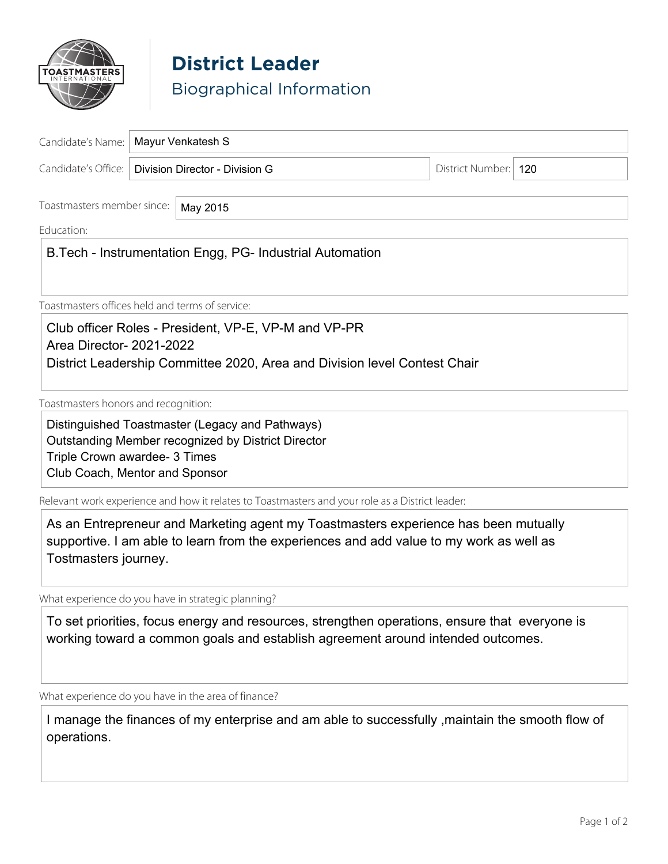

## **District Leader** Biographical Information

| Candidate's Name:   Mayur Venkatesh S                |  |                        |  |
|------------------------------------------------------|--|------------------------|--|
| Candidate's Office:   Division Director - Division G |  | District Number:   120 |  |

\_\_\_\_\_\_\_\_\_\_\_\_\_\_\_\_\_\_\_\_\_\_\_\_\_\_\_\_\_\_\_\_\_\_\_\_\_\_\_\_\_\_\_\_\_\_\_\_\_\_\_\_\_\_\_\_\_\_\_\_\_\_\_\_\_\_\_\_\_\_\_\_\_\_\_\_\_\_\_\_\_\_\_\_\_\_\_\_\_\_\_\_\_\_\_\_\_\_\_\_\_\_

Toastmasters member since: May 2015

Education: \_\_\_\_\_\_\_\_\_\_\_\_\_\_\_\_\_\_\_\_\_\_\_\_\_\_\_\_\_\_\_\_\_\_\_\_\_\_\_\_\_\_\_\_\_\_\_\_\_\_\_\_\_\_\_\_\_\_\_\_\_\_\_\_\_\_\_\_\_\_\_\_\_\_\_\_\_\_\_\_\_\_\_\_\_\_\_\_\_\_\_\_\_

 $\mid$  B.Tech - Instrumentation Engg, PG- Industrial Automation

Toastmasters offices held and terms of service:

Club officer Roles - President, VP-E, VP-M and VP-PR Area Director- 2021-2022 District Leadership Committee 2020, Area and Division level Contest Chair

Toastmasters honors and recognition:

Distinguished Toastmaster (Legacy and Pathways) Outstanding Member recognized by District Director Triple Crown awardee- 3 Times Club Coach, Mentor and Sponsor

Relevant work experience and how it relates to Toastmasters and your role as a District leader:

As an Entrepreneur and Marketing agent my Toastmasters experience has been mutually supportive. I am able to learn from the experiences and add value to my work as well as Tostmasters journey.

What experience do you have in strategic planning?

To set priorities, focus energy and resources, strengthen operations, ensure that everyone is working toward a common goals and establish agreement around intended outcomes.

What experience do you have in the area of finance?

I manage the finances of my enterprise and am able to successfully ,maintain the smooth flow of operations.